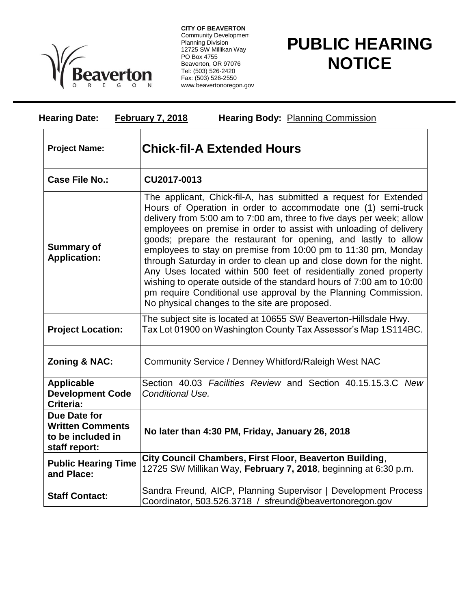

**CITY OF BEAVERTON** Community Development Planning Division 12725 SW Millikan Way PO Box 4755 Beaverton, OR 97076 Tel: (503) 526-2420 Fax: (503) 526-2550 www.beavertonoregon.gov

## **PUBLIC HEARING NOTICE**

| <b>Hearing Body: Planning Commission</b><br><b>Hearing Date:</b><br><b>February 7, 2018</b> |                                                                                                                                                                                                                                                                                                                                                                                                                                                                                                                                                                                                                                                                                                                                                            |
|---------------------------------------------------------------------------------------------|------------------------------------------------------------------------------------------------------------------------------------------------------------------------------------------------------------------------------------------------------------------------------------------------------------------------------------------------------------------------------------------------------------------------------------------------------------------------------------------------------------------------------------------------------------------------------------------------------------------------------------------------------------------------------------------------------------------------------------------------------------|
| <b>Project Name:</b>                                                                        | <b>Chick-fil-A Extended Hours</b>                                                                                                                                                                                                                                                                                                                                                                                                                                                                                                                                                                                                                                                                                                                          |
| <b>Case File No.:</b>                                                                       | CU2017-0013                                                                                                                                                                                                                                                                                                                                                                                                                                                                                                                                                                                                                                                                                                                                                |
| <b>Summary of</b><br><b>Application:</b>                                                    | The applicant, Chick-fil-A, has submitted a request for Extended<br>Hours of Operation in order to accommodate one (1) semi-truck<br>delivery from 5:00 am to 7:00 am, three to five days per week; allow<br>employees on premise in order to assist with unloading of delivery<br>goods; prepare the restaurant for opening, and lastly to allow<br>employees to stay on premise from 10:00 pm to 11:30 pm, Monday<br>through Saturday in order to clean up and close down for the night.<br>Any Uses located within 500 feet of residentially zoned property<br>wishing to operate outside of the standard hours of 7:00 am to 10:00<br>pm require Conditional use approval by the Planning Commission.<br>No physical changes to the site are proposed. |
| <b>Project Location:</b>                                                                    | The subject site is located at 10655 SW Beaverton-Hillsdale Hwy.<br>Tax Lot 01900 on Washington County Tax Assessor's Map 1S114BC.                                                                                                                                                                                                                                                                                                                                                                                                                                                                                                                                                                                                                         |
| <b>Zoning &amp; NAC:</b>                                                                    | Community Service / Denney Whitford/Raleigh West NAC                                                                                                                                                                                                                                                                                                                                                                                                                                                                                                                                                                                                                                                                                                       |
| <b>Applicable</b><br><b>Development Code</b><br>Criteria:                                   | Section 40.03 Facilities Review and Section 40.15.15.3.C New<br>Conditional Use.                                                                                                                                                                                                                                                                                                                                                                                                                                                                                                                                                                                                                                                                           |
| Due Date for<br><b>Written Comments</b><br>to be included in<br>staff report:               | No later than 4:30 PM, Friday, January 26, 2018                                                                                                                                                                                                                                                                                                                                                                                                                                                                                                                                                                                                                                                                                                            |
| <b>Public Hearing Time</b><br>and Place:                                                    | City Council Chambers, First Floor, Beaverton Building,<br>12725 SW Millikan Way, February 7, 2018, beginning at 6:30 p.m.                                                                                                                                                                                                                                                                                                                                                                                                                                                                                                                                                                                                                                 |
| <b>Staff Contact:</b>                                                                       | Sandra Freund, AICP, Planning Supervisor   Development Process<br>Coordinator, 503.526.3718 / sfreund@beavertonoregon.gov                                                                                                                                                                                                                                                                                                                                                                                                                                                                                                                                                                                                                                  |